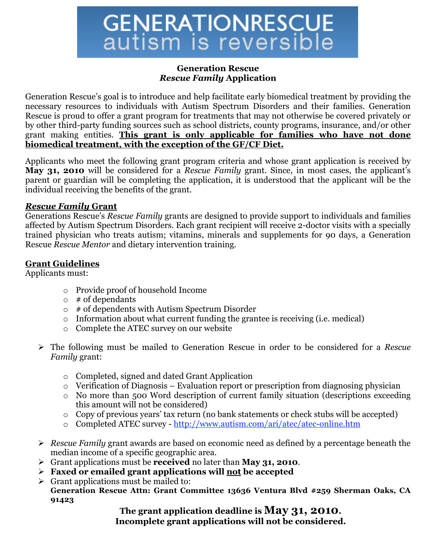#### **Generation Rescue** *Rescue Family* **Application**

Generation Rescue's goal is to introduce and help facilitate early biomedical treatment by providing the necessary resources to individuals with Autism Spectrum Disorders and their families. Generation Rescue is proud to offer a grant program for treatments that may not otherwise be covered privately or by other third-party funding sources such as school districts, county programs, insurance, and/or other grant making entities. **This grant is only applicable for families who have not done biomedical treatment, with the exception of the GF/CF Diet.**

Applicants who meet the following grant program criteria and whose grant application is received by **May 31, 2010** will be considered for a *Rescue Family* grant. Since, in most cases, the applicant's parent or guardian will be completing the application, it is understood that the applicant will be the individual receiving the benefits of the grant.

#### *Rescue Family* **Grant**

Generations Rescue's *Rescue Family* grants are designed to provide support to individuals and families affected by Autism Spectrum Disorders. Each grant recipient will receive 2-doctor visits with a specially trained physician who treats autism; vitamins, minerals and supplements for 90 days, a Generation Rescue *Rescue Mentor* and dietary intervention training.

#### **Grant Guidelines**

Applicants must:

- o Provide proof of household Income
- $\circ$  # of dependants
- $\circ$  # of dependents with Autism Spectrum Disorder
- o Information about what current funding the grantee is receiving (i.e. medical)
- o Complete the ATEC survey on our website
- The following must be mailed to Generation Rescue in order to be considered for a *Rescue Family* grant:
	- o Completed, signed and dated Grant Application
	- o Verification of Diagnosis Evaluation report or prescription from diagnosing physician
	- $\circ$  No more than 500 Word description of current family situation (descriptions exceeding this amount will not be considered)
	- o Copy of previous years' tax return (no bank statements or check stubs will be accepted)
	- o Completed ATEC survey http://www.autism.com/ari/atec/atec-online.htm
- *Rescue Family* grant awards are based on economic need as defined by a percentage beneath the median income of a specific geographic area.
- Grant applications must be **received** no later than **May 31, 2010**.
- **Faxed or emailed grant applications will not be accepted**
- $\triangleright$  Grant applications must be mailed to:
	- **Generation Rescue Attn: Grant Committee 13636 Ventura Blvd #259 Sherman Oaks, CA 91423**

#### **The grant application deadline is May 31, 2010. Incomplete grant applications will not be considered.**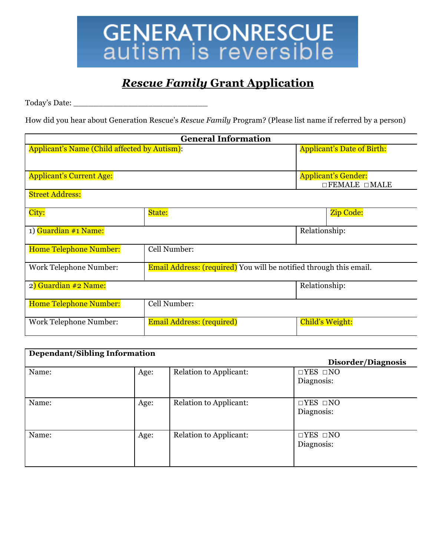

### *Rescue Family* **Grant Application**

Today's Date: \_\_\_\_\_\_\_\_\_\_\_\_\_\_\_\_\_\_\_\_\_\_\_\_\_\_\_

How did you hear about Generation Rescue's *Rescue Family* Program? (Please list name if referred by a person)

| <b>General Information</b>                   |                                                                           |                                   |  |
|----------------------------------------------|---------------------------------------------------------------------------|-----------------------------------|--|
| Applicant's Name (Child affected by Autism): |                                                                           | <b>Applicant's Date of Birth:</b> |  |
|                                              |                                                                           |                                   |  |
| <b>Applicant's Current Age:</b>              |                                                                           | <b>Applicant's Gender:</b>        |  |
|                                              |                                                                           | $\Box$ FEMALE $\Box$ MALE         |  |
| <b>Street Address:</b>                       |                                                                           |                                   |  |
|                                              |                                                                           |                                   |  |
| City:                                        | State:                                                                    | Zip Code:                         |  |
| 1) Guardian #1 Name:                         |                                                                           | Relationship:                     |  |
|                                              |                                                                           |                                   |  |
| <b>Home Telephone Number:</b>                | Cell Number:                                                              |                                   |  |
|                                              |                                                                           |                                   |  |
| <b>Work Telephone Number:</b>                | <b>Email Address: (required)</b> You will be notified through this email. |                                   |  |
| 2) Guardian #2 Name:                         |                                                                           | Relationship:                     |  |
|                                              |                                                                           |                                   |  |
| <b>Home Telephone Number:</b>                | Cell Number:                                                              |                                   |  |
|                                              |                                                                           |                                   |  |
| <b>Work Telephone Number:</b>                | <b>Email Address: (required)</b>                                          | <b>Child's Weight:</b>            |  |
|                                              |                                                                           |                                   |  |

| <b>Dependant/Sibling Information</b> |      |                        |                                    |  |
|--------------------------------------|------|------------------------|------------------------------------|--|
|                                      |      |                        | Disorder/Diagnosis                 |  |
| Name:                                | Age: | Relation to Applicant: | $\Box$ YES $\Box$ NO<br>Diagnosis: |  |
| Name:                                | Age: | Relation to Applicant: | $\Box$ YES $\Box$ NO<br>Diagnosis: |  |
| Name:                                | Age: | Relation to Applicant: | $\Box$ YES $\Box$ NO<br>Diagnosis: |  |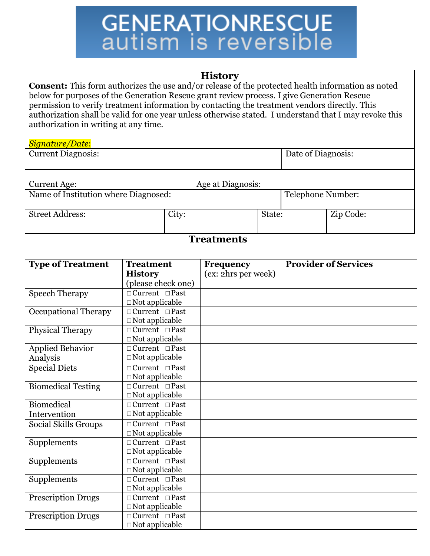#### **History**

**Consent:** This form authorizes the use and/or release of the protected health information as noted below for purposes of the Generation Rescue grant review process. I give Generation Rescue permission to verify treatment information by contacting the treatment vendors directly. This authorization shall be valid for one year unless otherwise stated. I understand that I may revoke this authorization in writing at any time.

#### *Signature/Date*:

| <b>Current Diagnosis:</b> |                   | Date of Diagnosis: |
|---------------------------|-------------------|--------------------|
| Current Age:              | Age at Diagnosis: |                    |

| A Name of Institution where Diagnosed |
|---------------------------------------|
| $\alpha$ . $\alpha$ . $\alpha$        |

Street Address:  $\qquad \qquad$  City:  $\qquad \qquad$  State:  $\qquad \qquad$  Zip Code:

### d: Institution and Institution where Diagnosed: Telephone Number:

#### **Treatments**

| <b>Type of Treatment</b>    | <b>Treatment</b>           | <b>Frequency</b>    | <b>Provider of Services</b> |
|-----------------------------|----------------------------|---------------------|-----------------------------|
|                             | <b>History</b>             | (ex: 2hrs per week) |                             |
|                             | (please check one)         |                     |                             |
| <b>Speech Therapy</b>       | $\Box$ Current $\Box$ Past |                     |                             |
|                             | $\Box$ Not applicable      |                     |                             |
| <b>Occupational Therapy</b> | $\Box$ Current $\Box$ Past |                     |                             |
|                             | $\Box$ Not applicable      |                     |                             |
| <b>Physical Therapy</b>     | $\Box$ Current $\Box$ Past |                     |                             |
|                             | $\Box$ Not applicable      |                     |                             |
| <b>Applied Behavior</b>     | $\Box$ Current $\Box$ Past |                     |                             |
| Analysis                    | $\Box$ Not applicable      |                     |                             |
| <b>Special Diets</b>        | $\Box$ Current $\Box$ Past |                     |                             |
|                             | $\Box$ Not applicable      |                     |                             |
| <b>Biomedical Testing</b>   | $\Box$ Current $\Box$ Past |                     |                             |
|                             | $\Box$ Not applicable      |                     |                             |
| Biomedical                  | $\Box$ Current $\Box$ Past |                     |                             |
| Intervention                | $\Box$ Not applicable      |                     |                             |
| Social Skills Groups        | $\Box$ Current $\Box$ Past |                     |                             |
|                             | $\Box$ Not applicable      |                     |                             |
| Supplements                 | $\Box$ Current $\Box$ Past |                     |                             |
|                             | $\Box$ Not applicable      |                     |                             |
| Supplements                 | $\Box$ Current $\Box$ Past |                     |                             |
|                             | $\Box$ Not applicable      |                     |                             |
| Supplements                 | $\Box$ Current $\Box$ Past |                     |                             |
|                             | $\Box$ Not applicable      |                     |                             |
| <b>Prescription Drugs</b>   | $\Box$ Current $\Box$ Past |                     |                             |
|                             | $\Box$ Not applicable      |                     |                             |
| <b>Prescription Drugs</b>   | $\Box$ Current $\Box$ Past |                     |                             |
|                             | $\Box$ Not applicable      |                     |                             |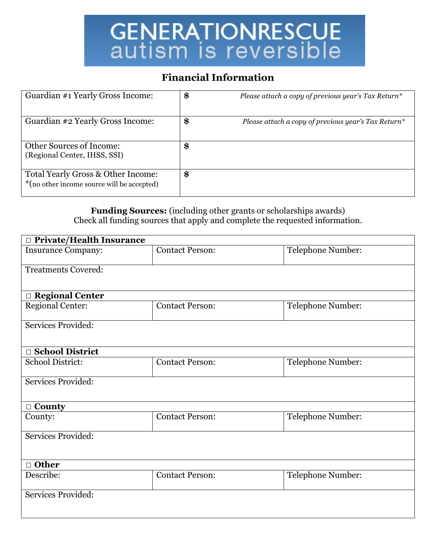#### **Financial Information**

| Guardian #1 Yearly Gross Income:                                                 | \$<br>Please attach a copy of previous year's Tax Return* |
|----------------------------------------------------------------------------------|-----------------------------------------------------------|
| Guardian #2 Yearly Gross Income:                                                 | \$<br>Please attach a copy of previous year's Tax Return* |
| <b>Other Sources of Income:</b><br>(Regional Center, IHSS, SSI)                  | \$                                                        |
| Total Yearly Gross & Other Income:<br>*(no other income source will be accepted) | \$                                                        |

**Funding Sources:** (including other grants or scholarships awards) Check all funding sources that apply and complete the requested information.

| □ Private/Health Insurance |                                             |                   |  |  |  |
|----------------------------|---------------------------------------------|-------------------|--|--|--|
| <b>Insurance Company:</b>  | <b>Contact Person:</b>                      | Telephone Number: |  |  |  |
| <b>Treatments Covered:</b> |                                             |                   |  |  |  |
|                            |                                             |                   |  |  |  |
| □ Regional Center          |                                             |                   |  |  |  |
| <b>Regional Center:</b>    | <b>Contact Person:</b>                      | Telephone Number: |  |  |  |
| Services Provided:         |                                             |                   |  |  |  |
|                            |                                             |                   |  |  |  |
| □ School District          |                                             |                   |  |  |  |
| <b>School District:</b>    | Telephone Number:<br><b>Contact Person:</b> |                   |  |  |  |
| <b>Services Provided:</b>  |                                             |                   |  |  |  |
| $\Box$ County              |                                             |                   |  |  |  |
| County:                    | <b>Contact Person:</b>                      | Telephone Number: |  |  |  |
| Services Provided:         |                                             |                   |  |  |  |
|                            |                                             |                   |  |  |  |
| $\Box$ Other               |                                             |                   |  |  |  |
| Describe:                  | Telephone Number:<br><b>Contact Person:</b> |                   |  |  |  |
| Services Provided:         |                                             |                   |  |  |  |
|                            |                                             |                   |  |  |  |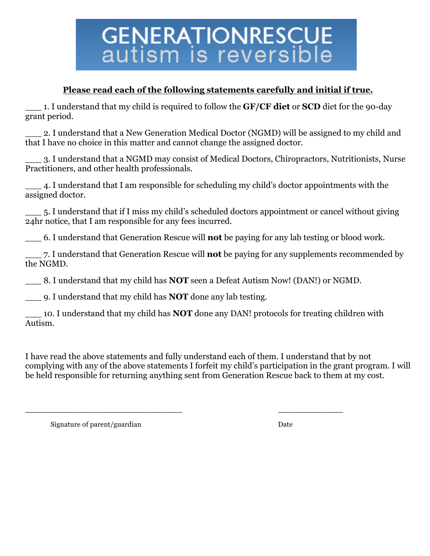#### **Please read each of the following statements carefully and initial if true.**

\_\_\_ 1. I understand that my child is required to follow the **GF/CF diet** or **SCD** diet for the 90-day grant period.

\_\_\_ 2. I understand that a New Generation Medical Doctor (NGMD) will be assigned to my child and that I have no choice in this matter and cannot change the assigned doctor.

\_\_\_ 3. I understand that a NGMD may consist of Medical Doctors, Chiropractors, Nutritionists, Nurse Practitioners, and other health professionals.

\_\_\_ 4. I understand that I am responsible for scheduling my child's doctor appointments with the assigned doctor.

\_\_\_ 5. I understand that if I miss my child's scheduled doctors appointment or cancel without giving 24hr notice, that I am responsible for any fees incurred.

\_\_\_ 6. I understand that Generation Rescue will **not** be paying for any lab testing or blood work.

\_\_\_ 7. I understand that Generation Rescue will **not** be paying for any supplements recommended by the NGMD.

\_\_\_ 8. I understand that my child has **NOT** seen a Defeat Autism Now! (DAN!) or NGMD.

 $\frac{1}{2}$  , the contract of the contract of the contract of the contract of the contract of the contract of the contract of the contract of the contract of the contract of the contract of the contract of the contract of t

\_\_\_ 9. I understand that my child has **NOT** done any lab testing.

\_\_\_ 10. I understand that my child has **NOT** done any DAN! protocols for treating children with Autism.

I have read the above statements and fully understand each of them. I understand that by not complying with any of the above statements I forfeit my child's participation in the grant program. I will be held responsible for returning anything sent from Generation Rescue back to them at my cost.

Signature of parent/guardian Date